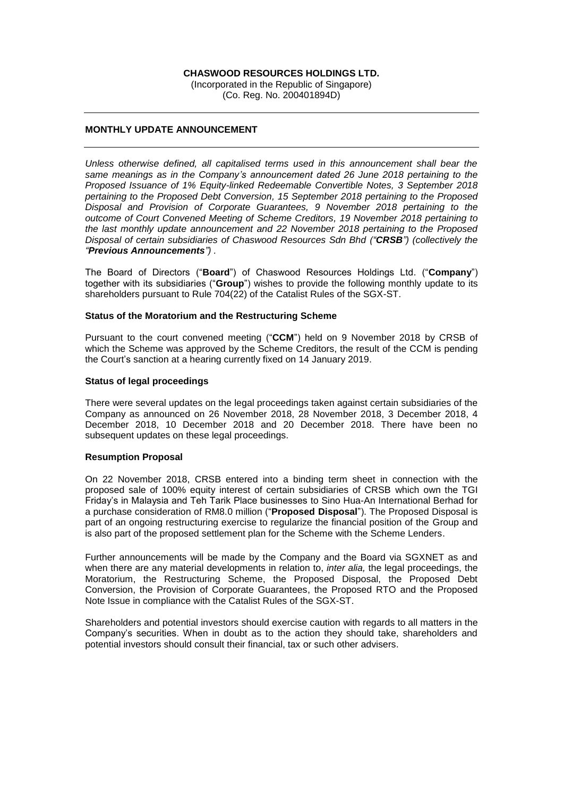## **CHASWOOD RESOURCES HOLDINGS LTD.**

(Incorporated in the Republic of Singapore) (Co. Reg. No. 200401894D)

## **MONTHLY UPDATE ANNOUNCEMENT**

*Unless otherwise defined, all capitalised terms used in this announcement shall bear the same meanings as in the Company's announcement dated 26 June 2018 pertaining to the Proposed Issuance of 1% Equity-linked Redeemable Convertible Notes, 3 September 2018 pertaining to the Proposed Debt Conversion, 15 September 2018 pertaining to the Proposed Disposal and Provision of Corporate Guarantees, 9 November 2018 pertaining to the outcome of Court Convened Meeting of Scheme Creditors, 19 November 2018 pertaining to the last monthly update announcement and 22 November 2018 pertaining to the Proposed Disposal of certain subsidiaries of Chaswood Resources Sdn Bhd ("CRSB") (collectively the "Previous Announcements") .*

The Board of Directors ("**Board**") of Chaswood Resources Holdings Ltd. ("**Company**") together with its subsidiaries ("**Group**") wishes to provide the following monthly update to its shareholders pursuant to Rule 704(22) of the Catalist Rules of the SGX-ST.

## **Status of the Moratorium and the Restructuring Scheme**

Pursuant to the court convened meeting ("**CCM**") held on 9 November 2018 by CRSB of which the Scheme was approved by the Scheme Creditors, the result of the CCM is pending the Court's sanction at a hearing currently fixed on 14 January 2019.

#### **Status of legal proceedings**

There were several updates on the legal proceedings taken against certain subsidiaries of the Company as announced on 26 November 2018, 28 November 2018, 3 December 2018, 4 December 2018, 10 December 2018 and 20 December 2018. There have been no subsequent updates on these legal proceedings.

#### **Resumption Proposal**

On 22 November 2018, CRSB entered into a binding term sheet in connection with the proposed sale of 100% equity interest of certain subsidiaries of CRSB which own the TGI Friday's in Malaysia and Teh Tarik Place businesses to Sino Hua-An International Berhad for a purchase consideration of RM8.0 million ("**Proposed Disposal**"). The Proposed Disposal is part of an ongoing restructuring exercise to regularize the financial position of the Group and is also part of the proposed settlement plan for the Scheme with the Scheme Lenders.

Further announcements will be made by the Company and the Board via SGXNET as and when there are any material developments in relation to, *inter alia,* the legal proceedings, the Moratorium, the Restructuring Scheme, the Proposed Disposal, the Proposed Debt Conversion, the Provision of Corporate Guarantees, the Proposed RTO and the Proposed Note Issue in compliance with the Catalist Rules of the SGX-ST.

Shareholders and potential investors should exercise caution with regards to all matters in the Company's securities. When in doubt as to the action they should take, shareholders and potential investors should consult their financial, tax or such other advisers.